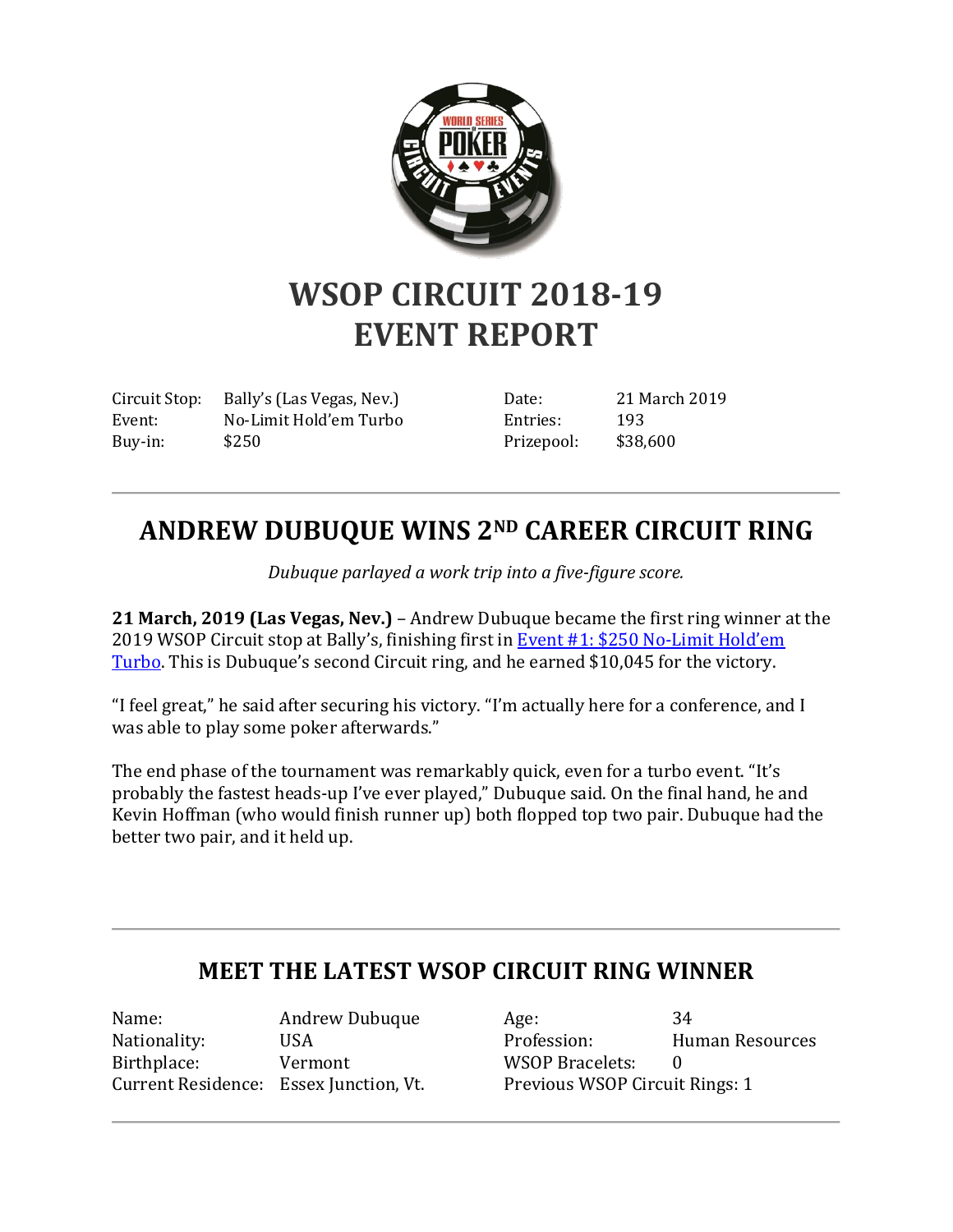

## **WSOP CIRCUIT 2018-19 EVENT REPORT**

Circuit Stop: Bally's (Las Vegas, Nev.) Event: No-Limit Hold'em Turbo Buy-in: \$250

Date: 21 March 2019 Entries: 193 Prizepool: \$38,600

## **ANDREW DUBUQUE WINS 2ND CAREER CIRCUIT RING**

*Dubuque parlayed a work trip into a five-figure score.*

**21 March, 2019 (Las Vegas, Nev.)** – Andrew Dubuque became the first ring winner at the 2019 WSOP Circuit stop at Bally's, finishing first in [Event #1: \\$250 No-Limit Hold](http://www.wsop.com/tournaments/results/?aid=1&grid=1565&tid=17332&dayof=173321&rr=5)'em [Turbo.](http://www.wsop.com/tournaments/results/?aid=1&grid=1565&tid=17332&dayof=173321&rr=5) This is Dubuque's second Circuit ring, and he earned \$10,045 for the victory.

"I feel great," he said after securing his victory. "I'm actually here for a conference, and I was able to play some poker afterwards."

The end phase of the tournament was remarkably quick, even for a turbo event. "It's probably the fastest heads-up I've ever played," Dubuque said. On the final hand, he and Kevin Hoffman (who would finish runner up) both flopped top two pair. Dubuque had the better two pair, and it held up.

## **MEET THE LATEST WSOP CIRCUIT RING WINNER**

Name: Andrew Dubuque Nationality: USA Birthplace: Vermont Current Residence: Essex Junction, Vt.

Age: 34 Profession: Human Resources WSOP Bracelets: 0 Previous WSOP Circuit Rings: 1